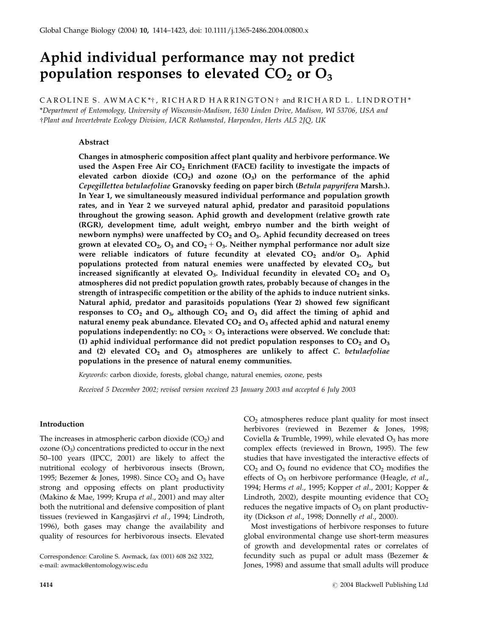# Aphid individual performance may not predict population responses to elevated  $CO<sub>2</sub>$  or  $O<sub>3</sub>$

CAROLINE S. AWMACK\*†, RICHARD HARRINGTON † and RICHARD L. LINDROTH\*

\*Department of Entomology, University of Wisconsin-Madison, 1630 Linden Drive, Madison, WI 53706, USA and wPlant and Invertebrate Ecology Division, IACR Rothamsted, Harpenden, Herts AL5 2JQ, UK

# Abstract

Changes in atmospheric composition affect plant quality and herbivore performance. We used the Aspen Free Air  $CO<sub>2</sub>$  Enrichment (FACE) facility to investigate the impacts of elevated carbon dioxide  $(CO_2)$  and ozone  $(O_3)$  on the performance of the aphid Cepegillettea betulaefoliae Granovsky feeding on paper birch (Betula papyrifera Marsh.). In Year 1, we simultaneously measured individual performance and population growth rates, and in Year 2 we surveyed natural aphid, predator and parasitoid populations throughout the growing season. Aphid growth and development (relative growth rate (RGR), development time, adult weight, embryo number and the birth weight of newborn nymphs) were unaffected by  $CO<sub>2</sub>$  and  $O<sub>3</sub>$ . Aphid fecundity decreased on trees grown at elevated  $CO<sub>2</sub>$ ,  $O<sub>3</sub>$  and  $CO<sub>2</sub> + O<sub>3</sub>$ . Neither nymphal performance nor adult size were reliable indicators of future fecundity at elevated  $CO<sub>2</sub>$  and/or  $O<sub>3</sub>$ . Aphid populations protected from natural enemies were unaffected by elevated  $CO<sub>2</sub>$ , but increased significantly at elevated  $O_3$ . Individual fecundity in elevated  $CO_2$  and  $O_3$ atmospheres did not predict population growth rates, probably because of changes in the strength of intraspecific competition or the ability of the aphids to induce nutrient sinks. Natural aphid, predator and parasitoids populations (Year 2) showed few significant responses to  $CO_2$  and  $O_3$ , although  $CO_2$  and  $O_3$  did affect the timing of aphid and natural enemy peak abundance. Elevated  $CO<sub>2</sub>$  and  $O<sub>3</sub>$  affected aphid and natural enemy populations independently: no  $CO_2 \times O_3$  interactions were observed. We conclude that: (1) aphid individual performance did not predict population responses to  $CO<sub>2</sub>$  and  $O<sub>3</sub>$ and (2) elevated  $CO<sub>2</sub>$  and  $O<sub>3</sub>$  atmospheres are unlikely to affect C. betulaefoliae populations in the presence of natural enemy communities.

Keywords: carbon dioxide, forests, global change, natural enemies, ozone, pests

Received 5 December 2002; revised version received 23 January 2003 and accepted 6 July 2003

# Introduction

The increases in atmospheric carbon dioxide  $(CO<sub>2</sub>)$  and ozone  $(O_3)$  concentrations predicted to occur in the next 50–100 years (IPCC, 2001) are likely to affect the nutritional ecology of herbivorous insects (Brown, 1995; Bezemer & Jones, 1998). Since  $CO<sub>2</sub>$  and  $O<sub>3</sub>$  have strong and opposing effects on plant productivity (Makino & Mae, 1999; Krupa et al., 2001) and may alter both the nutritional and defensive composition of plant tissues (reviewed in Kangasjärvi et al., 1994; Lindroth, 1996), both gases may change the availability and quality of resources for herbivorous insects. Elevated

 $CO<sub>2</sub>$  atmospheres reduce plant quality for most insect herbivores (reviewed in Bezemer & Jones, 1998; Coviella & Trumble, 1999), while elevated  $O_3$  has more complex effects (reviewed in Brown, 1995). The few studies that have investigated the interactive effects of  $CO<sub>2</sub>$  and  $O<sub>3</sub>$  found no evidence that  $CO<sub>2</sub>$  modifies the effects of  $O_3$  on herbivore performance (Heagle, et al., 1994; Herms et al., 1995; Kopper et al., 2001; Kopper & Lindroth, 2002), despite mounting evidence that  $CO<sub>2</sub>$ reduces the negative impacts of  $O_3$  on plant productivity (Dickson et al., 1998; Donnelly et al., 2000).

Most investigations of herbivore responses to future global environmental change use short-term measures of growth and developmental rates or correlates of fecundity such as pupal or adult mass (Bezemer & Jones, 1998) and assume that small adults will produce

Correspondence: Caroline S. Awmack, fax (001) 608 262 3322, e-mail: awmack@entomology.wisc.edu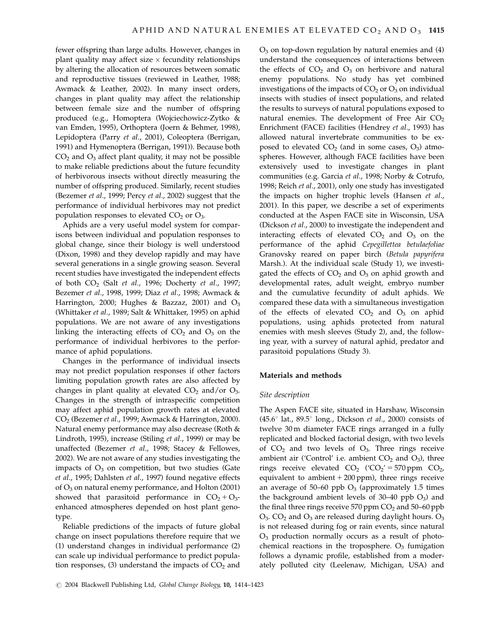fewer offspring than large adults. However, changes in plant quality may affect size  $\times$  fecundity relationships by altering the allocation of resources between somatic and reproductive tissues (reviewed in Leather, 1988; Awmack & Leather, 2002). In many insect orders, changes in plant quality may affect the relationship between female size and the number of offspring produced (e.g., Homoptera (Wojciechowicz-Zytko & van Emden, 1995), Orthoptera (Joern & Behmer, 1998), Lepidoptera (Parry et al., 2001), Coleoptera (Berrigan, 1991) and Hymenoptera (Berrigan, 1991)). Because both  $CO<sub>2</sub>$  and  $O<sub>3</sub>$  affect plant quality, it may not be possible to make reliable predictions about the future fecundity of herbivorous insects without directly measuring the number of offspring produced. Similarly, recent studies (Bezemer et al., 1999; Percy et al., 2002) suggest that the performance of individual herbivores may not predict population responses to elevated  $CO<sub>2</sub>$  or  $O<sub>3</sub>$ .

Aphids are a very useful model system for comparisons between individual and population responses to global change, since their biology is well understood (Dixon, 1998) and they develop rapidly and may have several generations in a single growing season. Several recent studies have investigated the independent effects of both CO<sub>2</sub> (Salt et al., 1996; Docherty et al., 1997; Bezemer et al., 1998, 1999; Diaz et al., 1998; Awmack & Harrington, 2000; Hughes & Bazzaz, 2001) and  $O_3$ (Whittaker et al., 1989; Salt & Whittaker, 1995) on aphid populations. We are not aware of any investigations linking the interacting effects of  $CO<sub>2</sub>$  and  $O<sub>3</sub>$  on the performance of individual herbivores to the performance of aphid populations.

Changes in the performance of individual insects may not predict population responses if other factors limiting population growth rates are also affected by changes in plant quality at elevated  $CO<sub>2</sub>$  and/or  $O<sub>3</sub>$ . Changes in the strength of intraspecific competition may affect aphid population growth rates at elevated CO2 (Bezemer et al., 1999; Awmack & Harrington, 2000). Natural enemy performance may also decrease (Roth & Lindroth, 1995), increase (Stiling et al., 1999) or may be unaffected (Bezemer et al., 1998; Stacey & Fellowes, 2002). We are not aware of any studies investigating the impacts of  $O_3$  on competition, but two studies (Gate et al., 1995; Dahlsten et al., 1997) found negative effects of  $O_3$  on natural enemy performance, and Holton (2001) showed that parasitoid performance in  $CO<sub>2</sub> + O<sub>3</sub>$ enhanced atmospheres depended on host plant genotype.

Reliable predictions of the impacts of future global change on insect populations therefore require that we (1) understand changes in individual performance (2) can scale up individual performance to predict population responses, (3) understand the impacts of  $CO<sub>2</sub>$  and  $O<sub>3</sub>$  on top-down regulation by natural enemies and (4) understand the consequences of interactions between the effects of  $CO<sub>2</sub>$  and  $O<sub>3</sub>$  on herbivore and natural enemy populations. No study has yet combined investigations of the impacts of  $CO<sub>2</sub>$  or  $O<sub>3</sub>$  on individual insects with studies of insect populations, and related the results to surveys of natural populations exposed to natural enemies. The development of Free Air  $CO<sub>2</sub>$ Enrichment (FACE) facilities (Hendrey et al., 1993) has allowed natural invertebrate communities to be exposed to elevated  $CO<sub>2</sub>$  (and in some cases,  $O<sub>3</sub>$ ) atmospheres. However, although FACE facilities have been extensively used to investigate changes in plant communities (e.g. Garcia et al., 1998; Norby & Cotrufo, 1998; Reich et al., 2001), only one study has investigated the impacts on higher trophic levels (Hansen et al., 2001). In this paper, we describe a set of experiments conducted at the Aspen FACE site in Wisconsin, USA (Dickson et al., 2000) to investigate the independent and interacting effects of elevated  $CO<sub>2</sub>$  and  $O<sub>3</sub>$  on the performance of the aphid Cepegillettea betulaefoliae Granovsky reared on paper birch (Betula papyrifera Marsh.). At the individual scale (Study 1), we investigated the effects of  $CO<sub>2</sub>$  and  $O<sub>3</sub>$  on aphid growth and developmental rates, adult weight, embryo number and the cumulative fecundity of adult aphids. We compared these data with a simultaneous investigation of the effects of elevated  $CO<sub>2</sub>$  and  $O<sub>3</sub>$  on aphid populations, using aphids protected from natural enemies with mesh sleeves (Study 2), and, the following year, with a survey of natural aphid, predator and parasitoid populations (Study 3).

# Materials and methods

## Site description

The Aspen FACE site, situated in Harshaw, Wisconsin (45.6 $\degree$  lat., 89.5 $\degree$  long., Dickson *et al.*, 2000) consists of twelve 30 m diameter FACE rings arranged in a fully replicated and blocked factorial design, with two levels of  $CO<sub>2</sub>$  and two levels of  $O<sub>3</sub>$ . Three rings receive ambient air ('Control' i.e. ambient  $CO<sub>2</sub>$  and  $O<sub>3</sub>$ ), three rings receive elevated  $CO<sub>2</sub>$  (' $CO<sub>2</sub>'$  = 570 ppm  $CO<sub>2</sub>$ , equivalent to ambient  $+ 200$  ppm), three rings receive an average of 50–60 ppb  $O_3$  (approximately 1.5 times the background ambient levels of  $30-40$  ppb  $O_3$ ) and the final three rings receive  $570$  ppm  $CO<sub>2</sub>$  and  $50-60$  ppb  $O_3$ . CO<sub>2</sub> and  $O_3$  are released during daylight hours.  $O_3$ is not released during fog or rain events, since natural  $O<sub>3</sub>$  production normally occurs as a result of photochemical reactions in the troposphere.  $O<sub>3</sub>$  fumigation follows a dynamic profile, established from a moderately polluted city (Leelenaw, Michigan, USA) and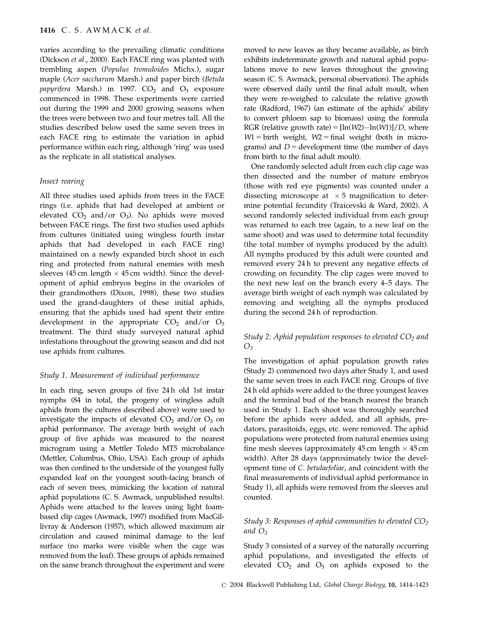varies according to the prevailing climatic conditions (Dickson et al., 2000). Each FACE ring was planted with trembling aspen (Populus tremuloides Michx.), sugar maple (Acer saccharum Marsh.) and paper birch (Betula papyrifera Marsh.) in 1997.  $CO<sub>2</sub>$  and  $O<sub>3</sub>$  exposure commenced in 1998. These experiments were carried out during the 1999 and 2000 growing seasons when the trees were between two and four metres tall. All the studies described below used the same seven trees in each FACE ring to estimate the variation in aphid performance within each ring, although 'ring' was used as the replicate in all statistical analyses.

#### Insect rearing

All three studies used aphids from trees in the FACE rings (i.e. aphids that had developed at ambient or elevated  $CO_2$  and/or  $O_3$ ). No aphids were moved between FACE rings. The first two studies used aphids from cultures (initiated using wingless fourth instar aphids that had developed in each FACE ring) maintained on a newly expanded birch shoot in each ring and protected from natural enemies with mesh sleeves (45 cm length  $\times$  45 cm width). Since the development of aphid embryos begins in the ovarioles of their grandmothers (Dixon, 1998), these two studies used the grand-daughters of these initial aphids, ensuring that the aphids used had spent their entire development in the appropriate  $CO<sub>2</sub>$  and/or  $O<sub>3</sub>$ treatment. The third study surveyed natural aphid infestations throughout the growing season and did not use aphids from cultures.

#### Study 1. Measurement of individual performance

In each ring, seven groups of five 24 h old 1st instar nymphs (84 in total, the progeny of wingless adult aphids from the cultures described above) were used to investigate the impacts of elevated  $CO<sub>2</sub>$  and/or  $O<sub>3</sub>$  on aphid performance. The average birth weight of each group of five aphids was measured to the nearest microgram using a Mettler Toledo MT5 microbalance (Mettler, Columbus, Ohio, USA). Each group of aphids was then confined to the underside of the youngest fully expanded leaf on the youngest south-facing branch of each of seven trees, mimicking the location of natural aphid populations (C. S. Awmack, unpublished results). Aphids were attached to the leaves using light foambased clip cages (Awmack, 1997) modified from MacGillivray & Anderson (1957), which allowed maximum air circulation and caused minimal damage to the leaf surface (no marks were visible when the cage was removed from the leaf). These groups of aphids remained on the same branch throughout the experiment and were moved to new leaves as they became available, as birch exhibits indeterminate growth and natural aphid populations move to new leaves throughout the growing season (C. S. Awmack, personal observation). The aphids were observed daily until the final adult moult, when they were re-weighed to calculate the relative growth rate (Radford, 1967) (an estimate of the aphids' ability to convert phloem sap to biomass) using the formula RGR (relative growth rate) =  $[\ln(W2) - \ln(W1)]/D$ , where  $W1 =$  birth weight,  $W2 =$  final weight (both in micrograms) and  $D =$  development time (the number of days from birth to the final adult moult).

One randomly selected adult from each clip cage was then dissected and the number of mature embryos (those with red eye pigments) was counted under a dissecting microscope at  $\times$  5 magnification to determine potential fecundity (Traicevski & Ward, 2002). A second randomly selected individual from each group was returned to each tree (again, to a new leaf on the same shoot) and was used to determine total fecundity (the total number of nymphs produced by the adult). All nymphs produced by this adult were counted and removed every 24 h to prevent any negative effects of crowding on fecundity. The clip cages were moved to the next new leaf on the branch every 4–5 days. The average birth weight of each nymph was calculated by removing and weighing all the nymphs produced during the second 24 h of reproduction.

# Study 2: Aphid population responses to elevated  $CO<sub>2</sub>$  and  $O<sub>3</sub>$

The investigation of aphid population growth rates (Study 2) commenced two days after Study 1, and used the same seven trees in each FACE ring. Groups of five 24 h old aphids were added to the three youngest leaves and the terminal bud of the branch nearest the branch used in Study 1. Each shoot was thoroughly searched before the aphids were added, and all aphids, predators, parasitoids, eggs, etc. were removed. The aphid populations were protected from natural enemies using fine mesh sleeves (approximately  $45 \text{ cm}$  length  $\times 45 \text{ cm}$ width). After 28 days (approximately twice the development time of C. betulaefoliae, and coincident with the final measurements of individual aphid performance in Study 1), all aphids were removed from the sleeves and counted.

# Study 3: Responses of aphid communities to elevated  $CO<sub>2</sub>$ and  $O_3$

Study 3 consisted of a survey of the naturally occurring aphid populations, and investigated the effects of elevated  $CO<sub>2</sub>$  and  $O<sub>3</sub>$  on aphids exposed to the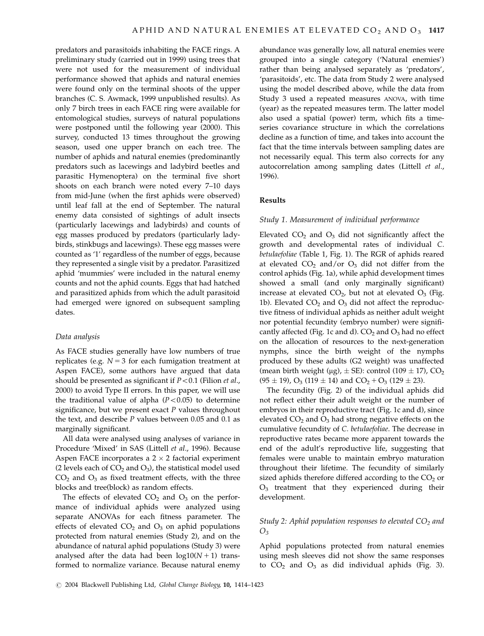predators and parasitoids inhabiting the FACE rings. A preliminary study (carried out in 1999) using trees that were not used for the measurement of individual performance showed that aphids and natural enemies were found only on the terminal shoots of the upper branches (C. S. Awmack, 1999 unpublished results). As only 7 birch trees in each FACE ring were available for entomological studies, surveys of natural populations were postponed until the following year (2000). This survey, conducted 13 times throughout the growing season, used one upper branch on each tree. The number of aphids and natural enemies (predominantly predators such as lacewings and ladybird beetles and parasitic Hymenoptera) on the terminal five short shoots on each branch were noted every 7–10 days from mid-June (when the first aphids were observed) until leaf fall at the end of September. The natural enemy data consisted of sightings of adult insects (particularly lacewings and ladybirds) and counts of egg masses produced by predators (particularly ladybirds, stinkbugs and lacewings). These egg masses were counted as '1' regardless of the number of eggs, because they represented a single visit by a predator. Parasitized aphid 'mummies' were included in the natural enemy counts and not the aphid counts. Eggs that had hatched and parasitized aphids from which the adult parasitoid had emerged were ignored on subsequent sampling dates.

#### Data analysis

As FACE studies generally have low numbers of true replicates (e.g.  $N = 3$  for each fumigation treatment at Aspen FACE), some authors have argued that data should be presented as significant if  $P < 0.1$  (Filion et al., 2000) to avoid Type II errors. In this paper, we will use the traditional value of alpha  $(P<0.05)$  to determine significance, but we present exact  $P$  values throughout the text, and describe  $P$  values between 0.05 and 0.1 as marginally significant.

All data were analysed using analyses of variance in Procedure 'Mixed' in SAS (Littell et al., 1996). Because Aspen FACE incorporates a  $2 \times 2$  factorial experiment (2 levels each of  $CO_2$  and  $O_3$ ), the statistical model used  $CO<sub>2</sub>$  and  $O<sub>3</sub>$  as fixed treatment effects, with the three blocks and tree(block) as random effects.

The effects of elevated  $CO<sub>2</sub>$  and  $O<sub>3</sub>$  on the performance of individual aphids were analyzed using separate ANOVAs for each fitness parameter. The effects of elevated  $CO<sub>2</sub>$  and  $O<sub>3</sub>$  on aphid populations protected from natural enemies (Study 2), and on the abundance of natural aphid populations (Study 3) were analysed after the data had been  $log10(N + 1)$  transformed to normalize variance. Because natural enemy abundance was generally low, all natural enemies were grouped into a single category ('Natural enemies') rather than being analysed separately as 'predators', 'parasitoids', etc. The data from Study 2 were analysed using the model described above, while the data from Study 3 used a repeated measures ANOVA, with time (year) as the repeated measures term. The latter model also used a spatial (power) term, which fits a timeseries covariance structure in which the correlations decline as a function of time, and takes into account the fact that the time intervals between sampling dates are not necessarily equal. This term also corrects for any autocorrelation among sampling dates (Littell et al., 1996).

### Results

#### Study 1. Measurement of individual performance

Elevated  $CO<sub>2</sub>$  and  $O<sub>3</sub>$  did not significantly affect the growth and developmental rates of individual C. betulaefoliae (Table 1, Fig. 1). The RGR of aphids reared at elevated  $CO<sub>2</sub>$  and/or  $O<sub>3</sub>$  did not differ from the control aphids (Fig. 1a), while aphid development times showed a small (and only marginally significant) increase at elevated  $CO<sub>2</sub>$ , but not at elevated  $O<sub>3</sub>$  (Fig. 1b). Elevated  $CO<sub>2</sub>$  and  $O<sub>3</sub>$  did not affect the reproductive fitness of individual aphids as neither adult weight nor potential fecundity (embryo number) were significantly affected (Fig. 1c and d).  $CO<sub>2</sub>$  and  $O<sub>3</sub>$  had no effect on the allocation of resources to the next-generation nymphs, since the birth weight of the nymphs produced by these adults (G2 weight) was unaffected (mean birth weight ( $\mu$ g),  $\pm$  SE): control (109  $\pm$  17), CO<sub>2</sub>  $(95 \pm 19)$ , O<sub>3</sub> (119  $\pm$  14) and CO<sub>2</sub> + O<sub>3</sub> (129  $\pm$  23).

The fecundity (Fig. 2) of the individual aphids did not reflect either their adult weight or the number of embryos in their reproductive tract (Fig. 1c and d), since elevated  $CO<sub>2</sub>$  and  $O<sub>3</sub>$  had strong negative effects on the cumulative fecundity of C. betulaefoliae. The decrease in reproductive rates became more apparent towards the end of the adult's reproductive life, suggesting that females were unable to maintain embryo maturation throughout their lifetime. The fecundity of similarly sized aphids therefore differed according to the  $CO<sub>2</sub>$  or O3 treatment that they experienced during their development.

# Study 2: Aphid population responses to elevated  $CO<sub>2</sub>$  and  $O<sub>3</sub>$

Aphid populations protected from natural enemies using mesh sleeves did not show the same responses to  $CO<sub>2</sub>$  and  $O<sub>3</sub>$  as did individual aphids (Fig. 3).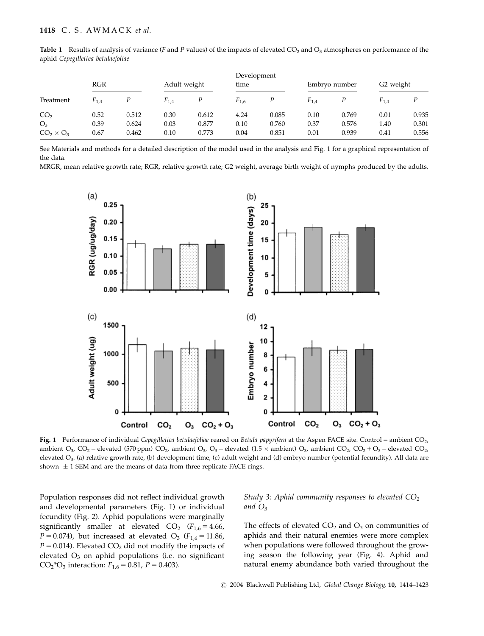| Treatment                         | RGR          |                | Adult weight |                | Development<br>time |                | Embryo number |                | G <sub>2</sub> weight |                |
|-----------------------------------|--------------|----------------|--------------|----------------|---------------------|----------------|---------------|----------------|-----------------------|----------------|
|                                   | $F_{1,4}$    |                | $F_{1,4}$    | Р              | $F_{1,6}$           | Ρ              | $F_{1,4}$     | Ρ              | $F_{1.4}$             | P              |
| CO <sub>2</sub>                   | 0.52         | 0.512          | 0.30         | 0.612          | 4.24                | 0.085          | 0.10          | 0.769          | 0.01                  | 0.935          |
| O <sub>3</sub><br>$CO2 \times O3$ | 0.39<br>0.67 | 0.624<br>0.462 | 0.03<br>0.10 | 0.877<br>0.773 | 0.10<br>0.04        | 0.760<br>0.851 | 0.37<br>0.01  | 0.576<br>0.939 | 1.40<br>0.41          | 0.301<br>0.556 |

**Table 1** Results of analysis of variance (F and P values) of the impacts of elevated  $CO<sub>2</sub>$  and  $O<sub>3</sub>$  atmospheres on performance of the aphid Cepegillettea betulaefoliae

See Materials and methods for a detailed description of the model used in the analysis and Fig. 1 for a graphical representation of the data.

MRGR, mean relative growth rate; RGR, relative growth rate; G2 weight, average birth weight of nymphs produced by the adults.



Fig. 1 Performance of individual Cepegillettea betulaefoliae reared on Betula papyrifera at the Aspen FACE site. Control = ambient  $CO<sub>2</sub>$ , ambient O<sub>3</sub>, CO<sub>2</sub> = elevated (570 ppm) CO<sub>2</sub>, ambient O<sub>3</sub>, O<sub>3</sub> = elevated (1.5  $\times$  ambient) O<sub>3</sub>, ambient CO<sub>2</sub>, CO<sub>2</sub> + O<sub>3</sub> = elevated CO<sub>2</sub>, elevated O<sub>3</sub>. (a) relative growth rate, (b) development time, (c) adult weight and (d) embryo number (potential fecundity). All data are shown  $\pm$  1 SEM and are the means of data from three replicate FACE rings.

Population responses did not reflect individual growth and developmental parameters (Fig. 1) or individual fecundity (Fig. 2). Aphid populations were marginally significantly smaller at elevated  $CO<sub>2</sub>$  ( $F<sub>1,6</sub> = 4.66$ )  $P = 0.074$ ), but increased at elevated O<sub>3</sub> ( $F_{1,6} = 11.86$ ,  $P = 0.014$ ). Elevated CO<sub>2</sub> did not modify the impacts of elevated  $O_3$  on aphid populations (i.e. no significant CO<sub>2</sub><sup>\*</sup>O<sub>3</sub> interaction:  $F_{1,6} = 0.81$ ,  $P = 0.403$ ).

Study 3: Aphid community responses to elevated  $CO<sub>2</sub>$ and  $O_3$ 

The effects of elevated  $CO<sub>2</sub>$  and  $O<sub>3</sub>$  on communities of aphids and their natural enemies were more complex when populations were followed throughout the growing season the following year (Fig. 4). Aphid and natural enemy abundance both varied throughout the

r 2004 Blackwell Publishing Ltd, Global Change Biology, 10, 1414–1423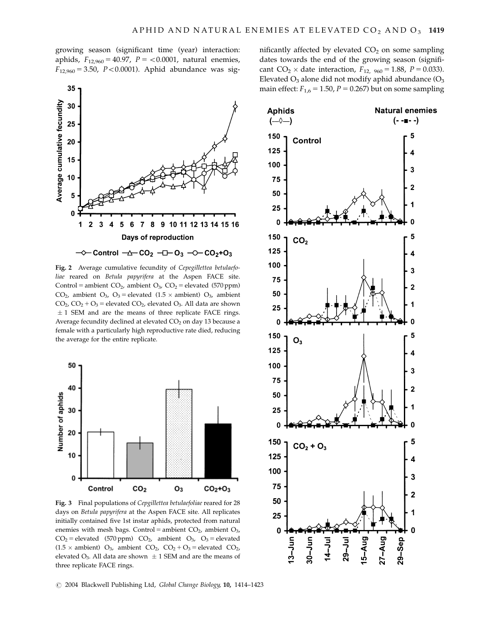growing season (significant time (year) interaction: aphids,  $F_{12,960} = 40.97$ ,  $P = <0.0001$ , natural enemies,  $F_{12,960} = 3.50$ ,  $P < 0.0001$ ). Aphid abundance was sig-



Fig. 2 Average cumulative fecundity of Cepegillettea betulaefoliae reared on Betula papyrifera at the Aspen FACE site. Control = ambient  $CO<sub>2</sub>$ , ambient  $O<sub>3</sub>$ ,  $CO<sub>2</sub>$  = elevated (570 ppm)  $CO<sub>2</sub>$ , ambient  $O<sub>3</sub>$ ,  $O<sub>3</sub>$  = elevated (1.5  $\times$  ambient)  $O<sub>3</sub>$ , ambient  $CO<sub>2</sub>$ ,  $CO<sub>2</sub> + O<sub>3</sub>$  = elevated  $CO<sub>2</sub>$ , elevated  $O<sub>3</sub>$ . All data are shown  $\pm$  1 SEM and are the means of three replicate FACE rings. Average fecundity declined at elevated  $CO<sub>2</sub>$  on day 13 because a female with a particularly high reproductive rate died, reducing the average for the entire replicate.



Fig. 3 Final populations of Cepgillettea betulaefoliae reared for 28 days on Betula papyrifera at the Aspen FACE site. All replicates initially contained five 1st instar aphids, protected from natural enemies with mesh bags. Control = ambient  $CO<sub>2</sub>$ , ambient  $O<sub>3</sub>$ ,  $CO<sub>2</sub>$  = elevated (570 ppm)  $CO<sub>2</sub>$ , ambient  $O<sub>3</sub>$ ,  $O<sub>3</sub>$  = elevated  $(1.5 \times$  ambient) O<sub>3</sub>, ambient CO<sub>2</sub>, CO<sub>2</sub> + O<sub>3</sub> = elevated CO<sub>2</sub>, elevated O<sub>3</sub>. All data are shown  $\pm$  1 SEM and are the means of three replicate FACE rings.

nificantly affected by elevated  $CO<sub>2</sub>$  on some sampling dates towards the end of the growing season (significant  $CO_2 \times$  date interaction,  $F_{12, 960} = 1.88$ ,  $P = 0.033$ ). Elevated  $O_3$  alone did not modify aphid abundance  $(O_3)$ main effect:  $F_{1,6} = 1.50$ ,  $P = 0.267$ ) but on some sampling

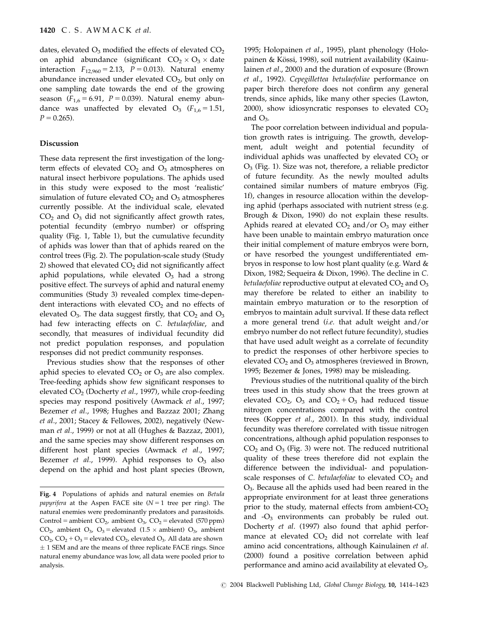dates, elevated  $O_3$  modified the effects of elevated  $CO_2$ on aphid abundance (significant  $CO_2 \times O_3 \times$  date interaction  $F_{12,960} = 2.13$ ,  $P = 0.013$ ). Natural enemy abundance increased under elevated  $CO<sub>2</sub>$ , but only on one sampling date towards the end of the growing season ( $F_{1,6} = 6.91$ ,  $P = 0.039$ ). Natural enemy abundance was unaffected by elevated  $O_3$  ( $F_{1,6} = 1.51$ ,  $P = 0.265$ .

#### Discussion

These data represent the first investigation of the longterm effects of elevated  $CO<sub>2</sub>$  and  $O<sub>3</sub>$  atmospheres on natural insect herbivore populations. The aphids used in this study were exposed to the most 'realistic' simulation of future elevated  $CO<sub>2</sub>$  and  $O<sub>3</sub>$  atmospheres currently possible. At the individual scale, elevated  $CO<sub>2</sub>$  and  $O<sub>3</sub>$  did not significantly affect growth rates, potential fecundity (embryo number) or offspring quality (Fig. 1, Table 1), but the cumulative fecundity of aphids was lower than that of aphids reared on the control trees (Fig. 2). The population-scale study (Study 2) showed that elevated  $CO<sub>2</sub>$  did not significantly affect aphid populations, while elevated  $O_3$  had a strong positive effect. The surveys of aphid and natural enemy communities (Study 3) revealed complex time-dependent interactions with elevated  $CO<sub>2</sub>$  and no effects of elevated  $O_3$ . The data suggest firstly, that  $CO_2$  and  $O_3$ had few interacting effects on C. betulaefoliae, and secondly, that measures of individual fecundity did not predict population responses, and population responses did not predict community responses.

Previous studies show that the responses of other aphid species to elevated  $CO<sub>2</sub>$  or  $O<sub>3</sub>$  are also complex. Tree-feeding aphids show few significant responses to elevated  $CO<sub>2</sub>$  (Docherty et al., 1997), while crop-feeding species may respond positively (Awmack et al., 1997; Bezemer et al., 1998; Hughes and Bazzaz 2001; Zhang et al., 2001; Stacey & Fellowes, 2002), negatively (Newman et al., 1999) or not at all (Hughes & Bazzaz, 2001), and the same species may show different responses on different host plant species (Awmack et al., 1997; Bezemer *et al.*, 1999). Aphid responses to  $O_3$  also depend on the aphid and host plant species (Brown,

1995; Holopainen et al., 1995), plant phenology (Holopainen & Kössi, 1998), soil nutrient availability (Kainulainen et al., 2000) and the duration of exposure (Brown et al., 1992). Cepegillettea betulaefoliae performance on paper birch therefore does not confirm any general trends, since aphids, like many other species (Lawton, 2000), show idiosyncratic responses to elevated  $CO<sub>2</sub>$ and  $O_3$ .

The poor correlation between individual and population growth rates is intriguing. The growth, development, adult weight and potential fecundity of individual aphids was unaffected by elevated  $CO<sub>2</sub>$  or  $O<sub>3</sub>$  (Fig. 1). Size was not, therefore, a reliable predictor of future fecundity. As the newly moulted adults contained similar numbers of mature embryos (Fig. 1f), changes in resource allocation within the developing aphid (perhaps associated with nutrient stress (e.g. Brough & Dixon, 1990) do not explain these results. Aphids reared at elevated  $CO<sub>2</sub>$  and/or  $O<sub>3</sub>$  may either have been unable to maintain embryo maturation once their initial complement of mature embryos were born, or have resorbed the youngest undifferentiated embryos in response to low host plant quality (e.g. Ward & Dixon, 1982; Sequeira & Dixon, 1996). The decline in C. betulaefoliae reproductive output at elevated  $CO<sub>2</sub>$  and  $O<sub>3</sub>$ may therefore be related to either an inability to maintain embryo maturation or to the resorption of embryos to maintain adult survival. If these data reflect a more general trend (i.e. that adult weight and/or embryo number do not reflect future fecundity), studies that have used adult weight as a correlate of fecundity to predict the responses of other herbivore species to elevated  $CO<sub>2</sub>$  and  $O<sub>3</sub>$  atmospheres (reviewed in Brown, 1995; Bezemer & Jones, 1998) may be misleading.

Previous studies of the nutritional quality of the birch trees used in this study show that the trees grown at elevated  $CO_2$ ,  $O_3$  and  $CO_2 + O_3$  had reduced tissue nitrogen concentrations compared with the control trees (Kopper et al., 2001). In this study, individual fecundity was therefore correlated with tissue nitrogen concentrations, although aphid population responses to  $CO<sub>2</sub>$  and  $O<sub>3</sub>$  (Fig. 3) were not. The reduced nutritional quality of these trees therefore did not explain the difference between the individual- and populationscale responses of C. betulaefoliae to elevated  $CO<sub>2</sub>$  and O3. Because all the aphids used had been reared in the appropriate environment for at least three generations prior to the study, maternal effects from ambient- $CO<sub>2</sub>$ and  $-O_3$  environments can probably be ruled out. Docherty et al. (1997) also found that aphid performance at elevated  $CO<sub>2</sub>$  did not correlate with leaf amino acid concentrations, although Kainulainen et al. (2000) found a positive correlation between aphid performance and amino acid availability at elevated  $O_3$ .

Fig. 4 Populations of aphids and natural enemies on Betula *papyrifera* at the Aspen FACE site  $(N = 1$  tree per ring). The natural enemies were predominantly predators and parasitoids. Control = ambient  $CO_2$ , ambient  $O_3$ ,  $CO_2$  = elevated (570 ppm)  $CO<sub>2</sub>$ , ambient  $O<sub>3</sub>$ ,  $O<sub>3</sub>$  = elevated (1.5  $\times$  ambient)  $O<sub>3</sub>$ , ambient  $CO<sub>2</sub>, CO<sub>2</sub> + O<sub>3</sub> =$  elevated  $CO<sub>2</sub>$ , elevated  $O<sub>3</sub>$ . All data are shown  $\pm$  1 SEM and are the means of three replicate FACE rings. Since natural enemy abundance was low, all data were pooled prior to analysis.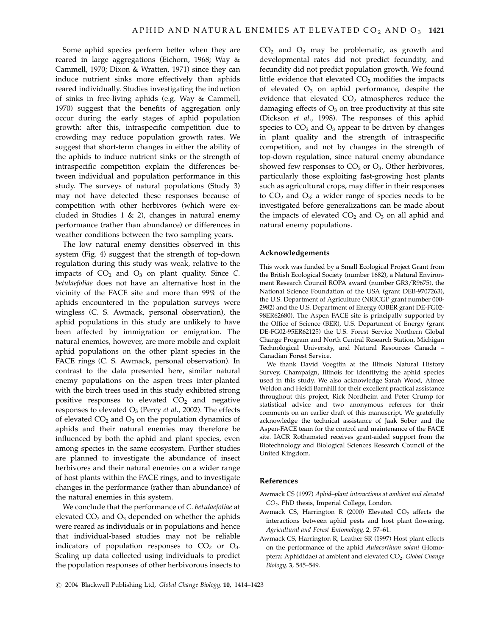Some aphid species perform better when they are reared in large aggregations (Eichorn, 1968; Way & Cammell, 1970; Dixon & Wratten, 1971) since they can induce nutrient sinks more effectively than aphids reared individually. Studies investigating the induction of sinks in free-living aphids (e.g. Way & Cammell, 1970) suggest that the benefits of aggregation only occur during the early stages of aphid population growth: after this, intraspecific competition due to crowding may reduce population growth rates. We suggest that short-term changes in either the ability of the aphids to induce nutrient sinks or the strength of intraspecific competition explain the differences between individual and population performance in this study. The surveys of natural populations (Study 3) may not have detected these responses because of competition with other herbivores (which were excluded in Studies 1  $\&$  2), changes in natural enemy performance (rather than abundance) or differences in weather conditions between the two sampling years.

The low natural enemy densities observed in this system (Fig. 4) suggest that the strength of top-down regulation during this study was weak, relative to the impacts of  $CO<sub>2</sub>$  and  $O<sub>3</sub>$  on plant quality. Since C. betulaefoliae does not have an alternative host in the vicinity of the FACE site and more than 99% of the aphids encountered in the population surveys were wingless (C. S. Awmack, personal observation), the aphid populations in this study are unlikely to have been affected by immigration or emigration. The natural enemies, however, are more mobile and exploit aphid populations on the other plant species in the FACE rings (C. S. Awmack, personal observation). In contrast to the data presented here, similar natural enemy populations on the aspen trees inter-planted with the birch trees used in this study exhibited strong positive responses to elevated  $CO<sub>2</sub>$  and negative responses to elevated  $O_3$  (Percy *et al.*, 2002). The effects of elevated  $CO<sub>2</sub>$  and  $O<sub>3</sub>$  on the population dynamics of aphids and their natural enemies may therefore be influenced by both the aphid and plant species, even among species in the same ecosystem. Further studies are planned to investigate the abundance of insect herbivores and their natural enemies on a wider range of host plants within the FACE rings, and to investigate changes in the performance (rather than abundance) of the natural enemies in this system.

We conclude that the performance of C. betulaefoliae at elevated  $CO<sub>2</sub>$  and  $O<sub>3</sub>$  depended on whether the aphids were reared as individuals or in populations and hence that individual-based studies may not be reliable indicators of population responses to  $CO<sub>2</sub>$  or  $O<sub>3</sub>$ . Scaling up data collected using individuals to predict the population responses of other herbivorous insects to  $CO<sub>2</sub>$  and  $O<sub>3</sub>$  may be problematic, as growth and developmental rates did not predict fecundity, and fecundity did not predict population growth. We found little evidence that elevated  $CO<sub>2</sub>$  modifies the impacts of elevated  $O_3$  on aphid performance, despite the evidence that elevated  $CO<sub>2</sub>$  atmospheres reduce the damaging effects of  $O_3$  on tree productivity at this site (Dickson et al., 1998). The responses of this aphid species to  $CO<sub>2</sub>$  and  $O<sub>3</sub>$  appear to be driven by changes in plant quality and the strength of intraspecific competition, and not by changes in the strength of top-down regulation, since natural enemy abundance showed few responses to  $CO<sub>2</sub>$  or  $O<sub>3</sub>$ . Other herbivores, particularly those exploiting fast-growing host plants such as agricultural crops, may differ in their responses to  $CO<sub>2</sub>$  and  $O<sub>3</sub>$ : a wider range of species needs to be investigated before generalizations can be made about the impacts of elevated  $CO<sub>2</sub>$  and  $O<sub>3</sub>$  on all aphid and natural enemy populations.

#### Acknowledgements

This work was funded by a Small Ecological Project Grant from the British Ecological Society (number 1682), a Natural Environment Research Council ROPA award (number GR3/R9675), the National Science Foundation of the USA (grant DEB-9707263), the U.S. Department of Agriculture (NRICGP grant number 000- 2982) and the U.S. Department of Energy (OBER grant DE-FG02- 98ER62680). The Aspen FACE site is principally supported by the Office of Science (BER), U.S. Department of Energy (grant DE-FG02-95ER62125) the U.S. Forest Service Northern Global Change Program and North Central Research Station, Michigan Technological University, and Natural Resources Canada – Canadian Forest Service.

We thank David Voegtlin at the Illinois Natural History Survey, Champaign, Illinois for identifying the aphid species used in this study. We also acknowledge Sarah Wood, Aimee Weldon and Heidi Barnhill for their excellent practical assistance throughout this project, Rick Nordheim and Peter Crump for statistical advice and two anonymous referees for their comments on an earlier draft of this manuscript. We gratefully acknowledge the technical assistance of Jaak Sober and the Aspen-FACE team for the control and maintenance of the FACE site. IACR Rothamsted receives grant-aided support from the Biotechnology and Biological Sciences Research Council of the United Kingdom.

## References

- Awmack CS (1997) Aphid–plant interactions at ambient and elevated CO2. PhD thesis, Imperial College, London.
- Awmack CS, Harrington R (2000) Elevated  $CO<sub>2</sub>$  affects the interactions between aphid pests and host plant flowering. Agricultural and Forest Entomology, 2, 57–61.
- Awmack CS, Harrington R, Leather SR (1997) Host plant effects on the performance of the aphid Aulacorthum solani (Homoptera: Aphididae) at ambient and elevated CO<sub>2</sub>. Global Change Biology, 3, 545–549.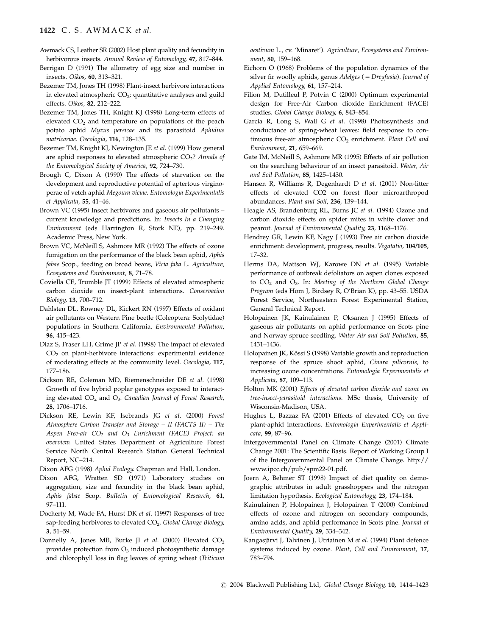#### 1422 C. S. AWMACK et al.

- Awmack CS, Leather SR (2002) Host plant quality and fecundity in herbivorous insects. Annual Review of Entomology, 47, 817-844.
- Berrigan D (1991) The allometry of egg size and number in insects. Oikos, 60, 313–321.
- Bezemer TM, Jones TH (1998) Plant-insect herbivore interactions in elevated atmospheric  $CO<sub>2</sub>$ : quantitative analyses and guild effects. Oikos, 82, 212–222.
- Bezemer TM, Jones TH, Knight KJ (1998) Long-term effects of elevated  $CO<sub>2</sub>$  and temperature on populations of the peach potato aphid Myzus persicae and its parasitoid Aphidius matricariae. Oecologia, 116, 128–135.
- Bezemer TM, Knight KJ, Newington JE et al. (1999) How general are aphid responses to elevated atmospheric  $CO<sub>2</sub>$ ? Annals of the Entomological Society of America, 92, 724–730.
- Brough C, Dixon A (1990) The effects of starvation on the development and reproductive potential of aptertous virginoperae of vetch aphid Megoura viciae. Entomologia Experimentalis et Applicata, 55, 41–46.
- Brown VC (1995) Insect herbivores and gaseous air pollutants current knowledge and predictions. In: Insects In a Changing Environment (eds Harrington R, Stork NE), pp. 219–249. Academic Press, New York.
- Brown VC, McNeill S, Ashmore MR (1992) The effects of ozone fumigation on the performance of the black bean aphid, Aphis fabae Scop., feeding on broad beans, Vicia faba L. Agriculture, Ecosystems and Environment, 8, 71–78.
- Coviella CE, Trumble JT (1999) Effects of elevated atmospheric carbon dioxide on insect-plant interactions. Conservation Biology, 13, 700–712.
- Dahlsten DL, Rowney DL, Kickert RN (1997) Effects of oxidant air pollutants on Western Pine beetle (Coleoptera: Scolytidae) populations in Southern California. Environmental Pollution, 96, 415–423.
- Diaz S, Fraser LH, Grime JP et al. (1998) The impact of elevated CO2 on plant-herbivore interactions: experimental evidence of moderating effects at the community level. Oecologia, 117, 177–186.
- Dickson RE, Coleman MD, Riemenschneider DE et al. (1998) Growth of five hybrid poplar genotypes exposed to interacting elevated  $CO<sub>2</sub>$  and  $O<sub>3</sub>$ . Canadian Journal of Forest Research, 28, 1706–1716.
- Dickson RE, Lewin KF, Isebrands JG et al. (2000) Forest Atmosphere Carbon Transfer and Storage – II (FACTS II) – The Aspen Free-air  $CO<sub>2</sub>$  and  $O<sub>3</sub>$  Enrichment (FACE) Project: an overview. United States Department of Agriculture Forest Service North Central Research Station General Technical Report, NC–214.
- Dixon AFG (1998) Aphid Ecology. Chapman and Hall, London.
- Dixon AFG, Wratten SD (1971) Laboratory studies on aggregation, size and fecundity in the black bean aphid, Aphis fabae Scop. Bulletin of Entomological Research, 61, 97–111.
- Docherty M, Wade FA, Hurst DK et al. (1997) Responses of tree sap-feeding herbivores to elevated CO<sub>2</sub>. Global Change Biology, 3, 51–59.
- Donnelly A, Jones MB, Burke JI et al. (2000) Elevated  $CO<sub>2</sub>$ provides protection from  $O_3$  induced photosynthetic damage and chlorophyll loss in flag leaves of spring wheat (Triticum

aestivum L., cv. 'Minaret'). Agriculture, Ecosystems and Environment, 80, 159–168.

- Eichorn O (1968) Problems of the population dynamics of the silver fir woolly aphids, genus Adelges ( = Dreyfusia). Journal of Applied Entomology, 61, 157–214.
- Filion M, Dutilleul P, Potvin C (2000) Optimum experimental design for Free-Air Carbon dioxide Enrichment (FACE) studies. Global Change Biology, 6, 843–854.
- Garcia R, Long S, Wall G et al. (1998) Photosynthesis and conductance of spring-wheat leaves: field response to continuous free-air atmospheric  $CO<sub>2</sub>$  enrichment. Plant Cell and Environment, 21, 659–669.
- Gate IM, McNeill S, Ashmore MR (1995) Effects of air pollution on the searching behaviour of an insect parasitoid. Water, Air and Soil Pollution, 85, 1425–1430.
- Hansen R, Williams R, Degenhardt D et al. (2001) Non-litter effects of elevated CO2 on forest floor microarthropod abundances. Plant and Soil, 236, 139–144.
- Heagle AS, Brandenburg RL, Burns JC et al. (1994) Ozone and carbon dioxide effects on spider mites in white clover and peanut. Journal of Environmental Quality, 23, 1168–1176.
- Hendrey GR, Lewin KF, Nagy J (1993) Free air carbon dioxide enrichment: development, progress, results. Vegatatio, 104/105, 17–32.
- Herms DA, Mattson WJ, Karowe DN et al. (1995) Variable performance of outbreak defoliators on aspen clones exposed to  $CO<sub>2</sub>$  and  $O<sub>3</sub>$ . In: Meeting of the Northern Global Change Program (eds Hom J, Birdsey R, O'Brian K), pp. 43–55. USDA Forest Service, Northeastern Forest Experimental Station, General Technical Report.
- Holopainen JK, Kainulainen P, Oksanen J (1995) Effects of gaseous air pollutants on aphid performance on Scots pine and Norway spruce seedling. Water Air and Soil Pollution, 85, 1431–1436.
- Holopainen JK, Kössi S (1998) Variable growth and reproduction response of the spruce shoot aphid, Cinara pilicornis, to increasing ozone concentrations. Entomologia Experimentalis et Applicata, 87, 109–113.
- Holton MK (2001) Effects of elevated carbon dioxide and ozone on tree-insect-parasitoid interactions. MSc thesis, University of Wisconsin-Madison, USA.
- Hughes L, Bazzaz FA (2001) Effects of elevated  $CO<sub>2</sub>$  on five plant-aphid interactions. Entomologia Experimentalis et Applicata, 99, 87–96.
- Intergovernmental Panel on Climate Change (2001) Climate Change 2001: The Scientific Basis. Report of Working Group I of the Intergovernmental Panel on Climate Change. http:// www.ipcc.ch/pub/spm22-01.pdf.
- Joern A, Behmer ST (1998) Impact of diet quality on demographic attributes in adult grasshoppers and the nitrogen limitation hypothesis. Ecological Entomology, 23, 174–184.
- Kainulainen P, Holopainen J, Holopainen T (2000) Combined effects of ozone and nitrogen on secondary compounds, amino acids, and aphid performance in Scots pine. Journal of Environmental Quality, 29, 334–342.
- Kangasjärvi J, Talvinen J, Utriainen M et al. (1994) Plant defence systems induced by ozone. Plant, Cell and Environment, 17, 783–794.